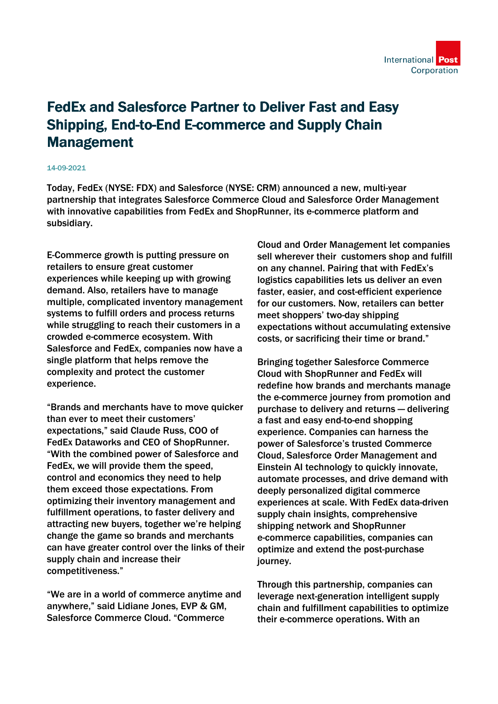

## FedEx and Salesforce Partner to Deliver Fast and Easy Shipping, End-to-End E-commerce and Supply Chain Management

## 14-09-2021

Today, FedEx (NYSE: FDX) and Salesforce (NYSE: CRM) announced a new, multi-year partnership that integrates Salesforce Commerce Cloud and Salesforce Order Management with innovative capabilities from FedEx and ShopRunner, its e-commerce platform and subsidiary.

E-Commerce growth is putting pressure on retailers to ensure great customer experiences while keeping up with growing demand. Also, retailers have to manage multiple, complicated inventory management systems to fulfill orders and process returns while struggling to reach their customers in a crowded e-commerce ecosystem. With Salesforce and FedEx, companies now have a single platform that helps remove the complexity and protect the customer experience.

"Brands and merchants have to move quicker than ever to meet their customers' expectations," said Claude Russ, COO of FedEx Dataworks and CEO of ShopRunner. "With the combined power of Salesforce and FedEx, we will provide them the speed, control and economics they need to help them exceed those expectations. From optimizing their inventory management and fulfillment operations, to faster delivery and attracting new buyers, together we're helping change the game so brands and merchants can have greater control over the links of their supply chain and increase their competitiveness."

"We are in a world of commerce anytime and anywhere," said Lidiane Jones, EVP & GM, Salesforce Commerce Cloud. "Commerce

Cloud and Order Management let companies sell wherever their customers shop and fulfill on any channel. Pairing that with FedEx's logistics capabilities lets us deliver an even faster, easier, and cost-efficient experience for our customers. Now, retailers can better meet shoppers' two-day shipping expectations without accumulating extensive costs, or sacrificing their time or brand."

Bringing together Salesforce Commerce Cloud with ShopRunner and FedEx will redefine how brands and merchants manage the e-commerce journey from promotion and purchase to delivery and returns — delivering a fast and easy end-to-end shopping experience. Companies can harness the power of Salesforce's trusted Commerce Cloud, Salesforce Order Management and Einstein AI technology to quickly innovate, automate processes, and drive demand with deeply personalized digital commerce experiences at scale. With FedEx data-driven supply chain insights, comprehensive shipping network and ShopRunner e-commerce capabilities, companies can optimize and extend the post-purchase journey.

Through this partnership, companies can leverage next-generation intelligent supply chain and fulfillment capabilities to optimize their e-commerce operations. With an